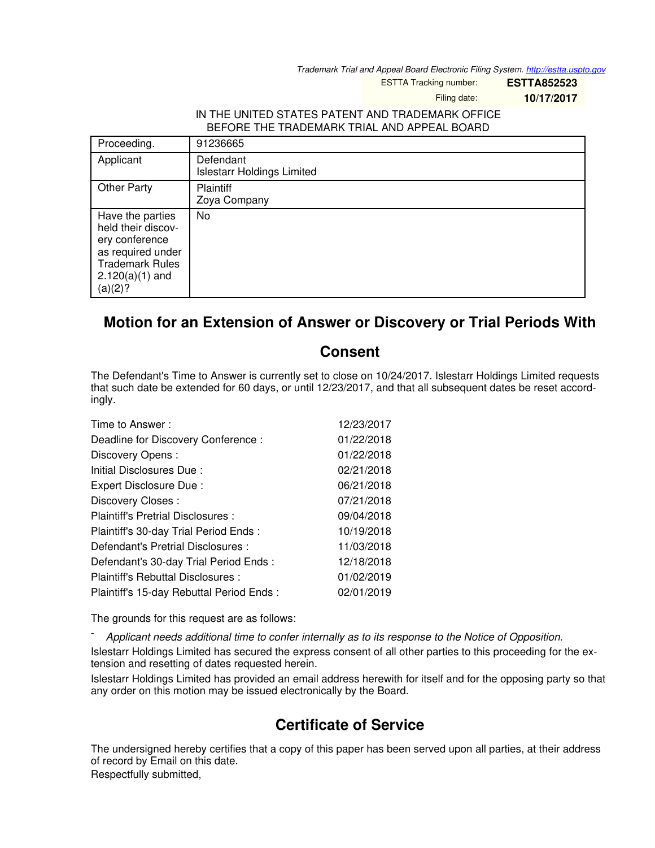*Trademark Trial and Appeal Board Electronic Filing System. <http://estta.uspto.gov>*

ESTTA Tracking number: **ESTTA852523**

Filing date: **10/17/2017**

## IN THE UNITED STATES PATENT AND TRADEMARK OFFICE BEFORE THE TRADEMARK TRIAL AND APPEAL BOARD

| Proceeding.                                                                                                                             | 91236665                                       |
|-----------------------------------------------------------------------------------------------------------------------------------------|------------------------------------------------|
| Applicant                                                                                                                               | Defendant<br><b>Islestarr Holdings Limited</b> |
| <b>Other Party</b>                                                                                                                      | <b>Plaintiff</b><br>Zoya Company               |
| Have the parties<br>held their discov-<br>ery conference<br>as required under<br><b>Trademark Rules</b><br>$2.120(a)(1)$ and<br>(a)(2)? | No                                             |

## **Motion for an Extension of Answer or Discovery or Trial Periods With**

## **Consent**

The Defendant's Time to Answer is currently set to close on 10/24/2017. Islestarr Holdings Limited requests that such date be extended for 60 days, or until 12/23/2017, and that all subsequent dates be reset accordingly.

| Time to Answer:                          | 12/23/2017 |
|------------------------------------------|------------|
| Deadline for Discovery Conference :      | 01/22/2018 |
| Discovery Opens:                         | 01/22/2018 |
| Initial Disclosures Due:                 | 02/21/2018 |
| Expert Disclosure Due:                   | 06/21/2018 |
| Discovery Closes:                        | 07/21/2018 |
| Plaintiff's Pretrial Disclosures :       | 09/04/2018 |
| Plaintiff's 30-day Trial Period Ends:    | 10/19/2018 |
| Defendant's Pretrial Disclosures :       | 11/03/2018 |
| Defendant's 30-day Trial Period Ends:    | 12/18/2018 |
| Plaintiff's Rebuttal Disclosures:        | 01/02/2019 |
| Plaintiff's 15-day Rebuttal Period Ends: | 02/01/2019 |

The grounds for this request are as follows:

- *Applicant needs additional time to confer internally as to its response to the Notice of Opposition.*

Islestarr Holdings Limited has secured the express consent of all other parties to this proceeding for the extension and resetting of dates requested herein.

Islestarr Holdings Limited has provided an email address herewith for itself and for the opposing party so that any order on this motion may be issued electronically by the Board.

## **Certificate of Service**

The undersigned hereby certifies that a copy of this paper has been served upon all parties, at their address of record by Email on this date. Respectfully submitted,